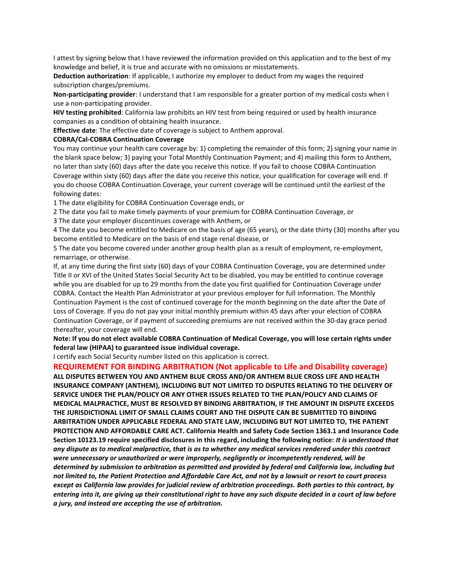I attest by signing below that I have reviewed the information provided on this application and to the best of my knowledge and belief, it is true and accurate with no omissions or misstatements.

**Deduction authorization**: If applicable, I authorize my employer to deduct from my wages the required subscription charges/premiums.

**Non-participating provider**: I understand that I am responsible for a greater portion of my medical costs when I use a non-participating provider.

**HIV testing prohibited**: California law prohibits an HIV test from being required or used by health insurance companies as a condition of obtaining health insurance.

**Effective date**: The effective date of coverage is subject to Anthem approval.

## **COBRA/Cal-COBRA Continuation Coverage**

You may continue your health care coverage by: 1) completing the remainder of this form; 2) signing your name in the blank space below; 3) paying your Total Monthly Continuation Payment; and 4) mailing this form to Anthem, no later than sixty (60) days after the date you receive this notice. If you fail to choose COBRA Continuation Coverage within sixty (60) days after the date you receive this notice, your qualification for coverage will end. If you do choose COBRA Continuation Coverage, your current coverage will be continued until the earliest of the following dates:

1 The date eligibility for COBRA Continuation Coverage ends, or

2 The date you fail to make timely payments of your premium for COBRA Continuation Coverage, or

3 The date your employer discontinues coverage with Anthem, or

4 The date you become entitled to Medicare on the basis of age (65 years), or the date thirty (30) months after you become entitled to Medicare on the basis of end stage renal disease, or

5 The date you become covered under another group health plan as a result of employment, re-employment, remarriage, or otherwise.

If, at any time during the first sixty (60) days of your COBRA Continuation Coverage, you are determined under Title II or XVI of the United States Social Security Act to be disabled, you may be entitled to continue coverage while you are disabled for up to 29 months from the date you first qualified for Continuation Coverage under COBRA. Contact the Health Plan Administrator at your previous employer for full information. The Monthly Continuation Payment is the cost of continued coverage for the month beginning on the date after the Date of Loss of Coverage. If you do not pay your initial monthly premium within 45 days after your election of COBRA Continuation Coverage, or if payment of succeeding premiums are not received within the 30-day grace period thereafter, your coverage will end.

**Note: If you do not elect available COBRA Continuation of Medical Coverage, you will lose certain rights under federal law (HIPAA) to guaranteed issue individual coverage.**

I certify each Social Security number listed on this application is correct.

## **REQUIREMENT FOR BINDING ARBITRATION (Not applicable to Life and Disability coverage)**

**ALL DISPUTES BETWEEN YOU AND ANTHEM BLUE CROSS AND/OR ANTHEM BLUE CROSS LIFE AND HEALTH INSURANCE COMPANY (ANTHEM), INCLUDING BUT NOT LIMITED TO DISPUTES RELATING TO THE DELIVERY OF SERVICE UNDER THE PLAN/POLICY OR ANY OTHER ISSUES RELATED TO THE PLAN/POLICY AND CLAIMS OF MEDICAL MALPRACTICE, MUST BE RESOLVED BY BINDING ARBITRATION, IF THE AMOUNT IN DISPUTE EXCEEDS THE JURISDICTIONAL LIMIT OF SMALL CLAIMS COURT AND THE DISPUTE CAN BE SUBMITTED TO BINDING ARBITRATION UNDER APPLICABLE FEDERAL AND STATE LAW, INCLUDING BUT NOT LIMITED TO, THE PATIENT PROTECTION AND AFFORDABLE CARE ACT. California Health and Safety Code Section 1363.1 and Insurance Code Section 10123.19 require specified disclosures in this regard, including the following notice:** *It is understood that any dispute as to medical malpractice, that is as to whether any medical services rendered under this contract were unnecessary or unauthorized or were improperly, negligently or incompetently rendered, will be determined by submission to arbitration as permitted and provided by federal and California law, including but not limited to, the Patient Protection and Affordable Care Act, and not by a lawsuit or resort to court process except as California law provides for judicial review of arbitration proceedings. Both parties to this contract, by entering into it, are giving up their constitutional right to have any such dispute decided in a court of law before a jury, and instead are accepting the use of arbitration.*